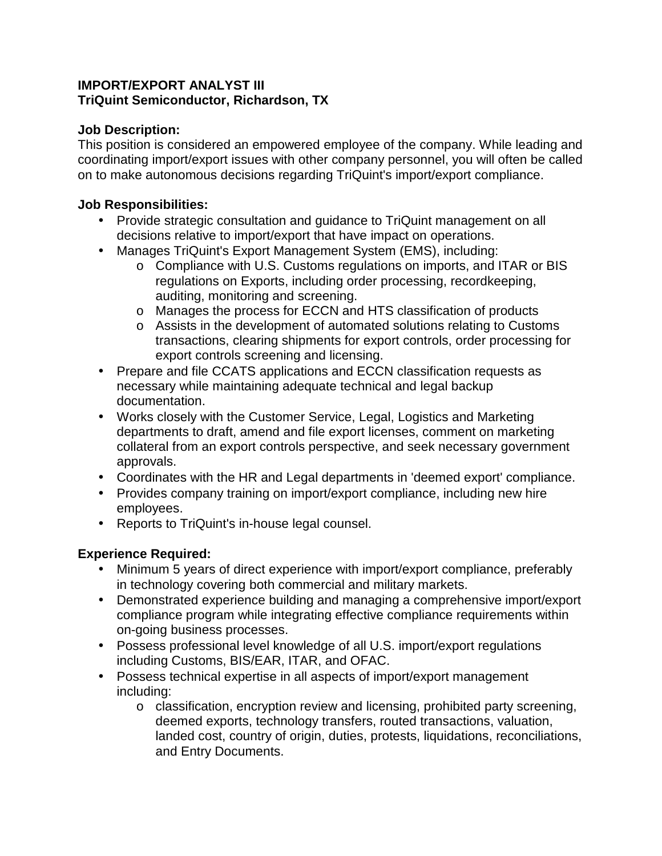## **IMPORT/EXPORT ANALYST III TriQuint Semiconductor, Richardson, TX**

## **Job Description:**

This position is considered an empowered employee of the company. While leading and coordinating import/export issues with other company personnel, you will often be called on to make autonomous decisions regarding TriQuint's import/export compliance.

#### **Job Responsibilities:**

- Provide strategic consultation and guidance to TriQuint management on all decisions relative to import/export that have impact on operations.
- Manages TriQuint's Export Management System (EMS), including:
	- o Compliance with U.S. Customs regulations on imports, and ITAR or BIS regulations on Exports, including order processing, recordkeeping, auditing, monitoring and screening.
	- o Manages the process for ECCN and HTS classification of products
	- o Assists in the development of automated solutions relating to Customs transactions, clearing shipments for export controls, order processing for export controls screening and licensing.
- Prepare and file CCATS applications and ECCN classification requests as necessary while maintaining adequate technical and legal backup documentation.
- Works closely with the Customer Service, Legal, Logistics and Marketing departments to draft, amend and file export licenses, comment on marketing collateral from an export controls perspective, and seek necessary government approvals.
- Coordinates with the HR and Legal departments in 'deemed export' compliance.
- Provides company training on import/export compliance, including new hire employees.
- Reports to TriQuint's in-house legal counsel.

# **Experience Required:**

- Minimum 5 years of direct experience with import/export compliance, preferably in technology covering both commercial and military markets.
- Demonstrated experience building and managing a comprehensive import/export compliance program while integrating effective compliance requirements within on-going business processes.
- Possess professional level knowledge of all U.S. import/export regulations including Customs, BIS/EAR, ITAR, and OFAC.
- Possess technical expertise in all aspects of import/export management including:
	- o classification, encryption review and licensing, prohibited party screening, deemed exports, technology transfers, routed transactions, valuation, landed cost, country of origin, duties, protests, liquidations, reconciliations, and Entry Documents.